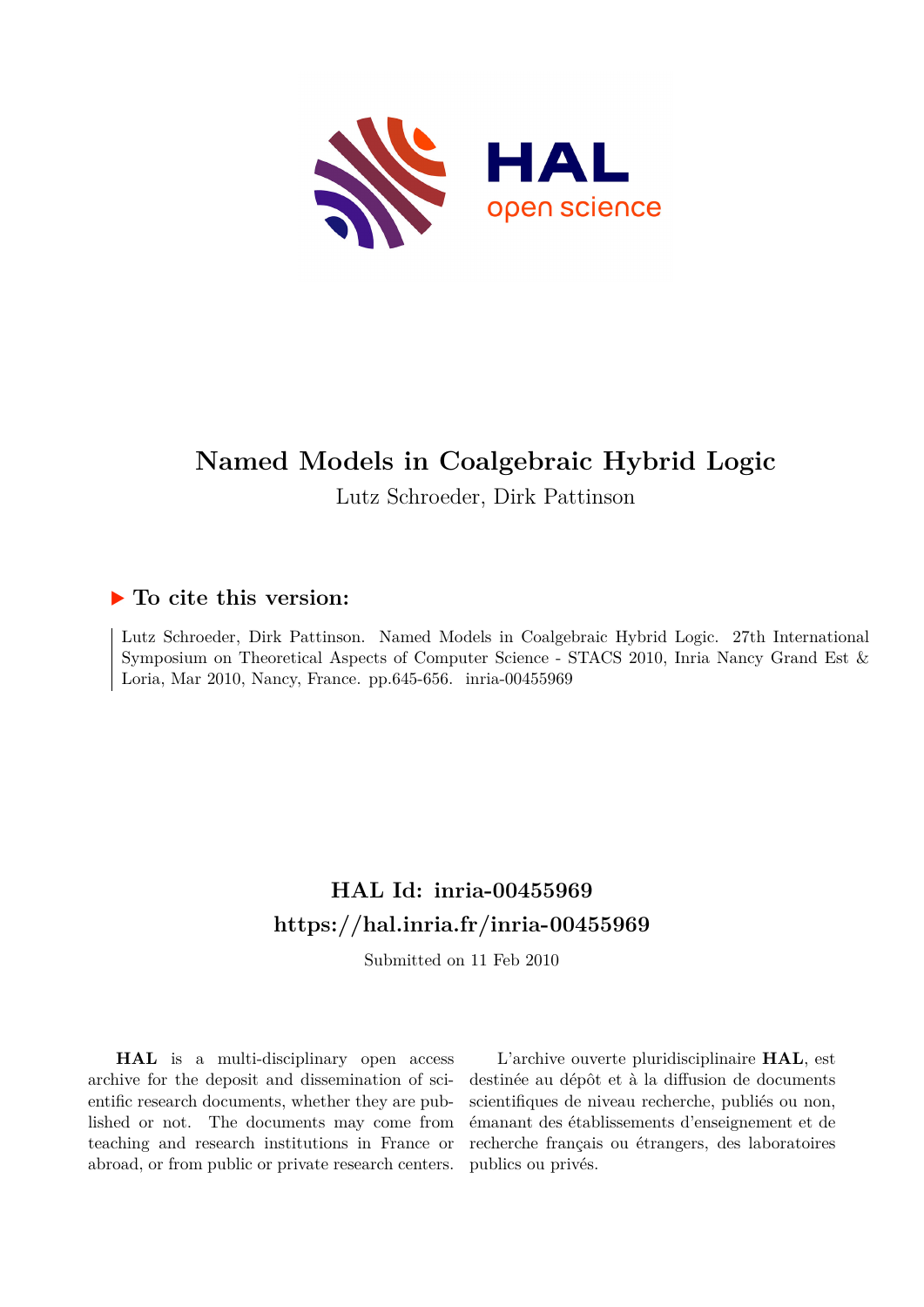

# **Named Models in Coalgebraic Hybrid Logic**

Lutz Schroeder, Dirk Pattinson

# **To cite this version:**

Lutz Schroeder, Dirk Pattinson. Named Models in Coalgebraic Hybrid Logic. 27th International Symposium on Theoretical Aspects of Computer Science - STACS 2010, Inria Nancy Grand Est & Loria, Mar 2010, Nancy, France. pp.645-656.  $inria-00455969$ 

# **HAL Id: inria-00455969 <https://hal.inria.fr/inria-00455969>**

Submitted on 11 Feb 2010

**HAL** is a multi-disciplinary open access archive for the deposit and dissemination of scientific research documents, whether they are published or not. The documents may come from teaching and research institutions in France or abroad, or from public or private research centers.

L'archive ouverte pluridisciplinaire **HAL**, est destinée au dépôt et à la diffusion de documents scientifiques de niveau recherche, publiés ou non, émanant des établissements d'enseignement et de recherche français ou étrangers, des laboratoires publics ou privés.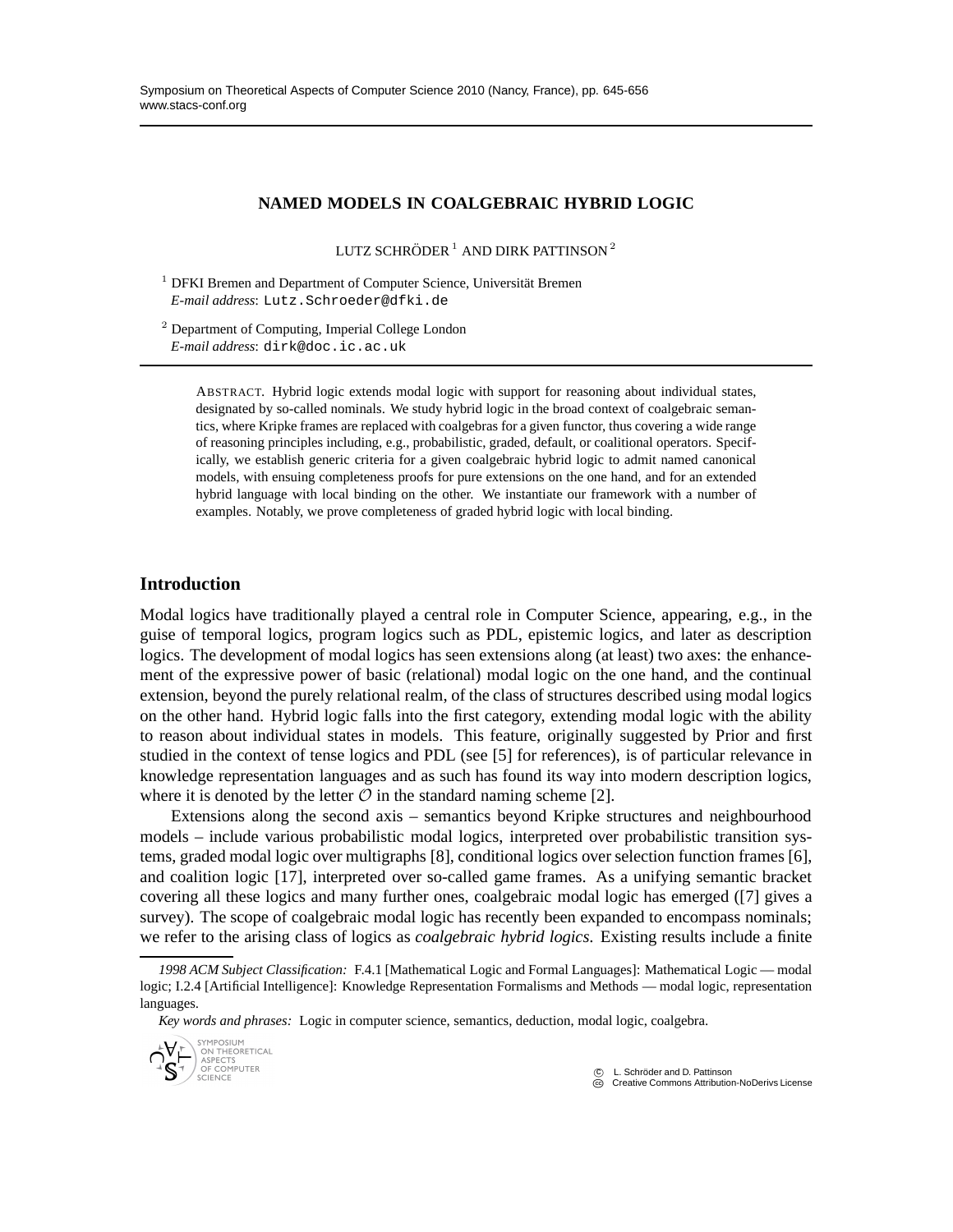# **NAMED MODELS IN COALGEBRAIC HYBRID LOGIC**

LUTZ SCHRÖDER  $^1$  AND DIRK PATTINSON  $^2$ 

 $1$  DFKI Bremen and Department of Computer Science, Universität Bremen *E-mail address*: Lutz.Schroeder@dfki.de

 $<sup>2</sup>$  Department of Computing, Imperial College London</sup> *E-mail address*: dirk@doc.ic.ac.uk

> ABSTRACT. Hybrid logic extends modal logic with support for reasoning about individual states, designated by so-called nominals. We study hybrid logic in the broad context of coalgebraic semantics, where Kripke frames are replaced with coalgebras for a given functor, thus covering a wide range of reasoning principles including, e.g., probabilistic, graded, default, or coalitional operators. Specifically, we establish generic criteria for a given coalgebraic hybrid logic to admit named canonical models, with ensuing completeness proofs for pure extensions on the one hand, and for an extended hybrid language with local binding on the other. We instantiate our framework with a number of examples. Notably, we prove completeness of graded hybrid logic with local binding.

# **Introduction**

Modal logics have traditionally played a central role in Computer Science, appearing, e.g., in the guise of temporal logics, program logics such as PDL, epistemic logics, and later as description logics. The development of modal logics has seen extensions along (at least) two axes: the enhancement of the expressive power of basic (relational) modal logic on the one hand, and the continual extension, beyond the purely relational realm, of the class of structures described using modal logics on the other hand. Hybrid logic falls into the first category, extending modal logic with the ability to reason about individual states in models. This feature, originally suggested by Prior and first studied in the context of tense logics and PDL (see [5] for references), is of particular relevance in knowledge representation languages and as such has found its way into modern description logics, where it is denoted by the letter  $\mathcal O$  in the standard naming scheme [2].

Extensions along the second axis – semantics beyond Kripke structures and neighbourhood models – include various probabilistic modal logics, interpreted over probabilistic transition systems, graded modal logic over multigraphs [8], conditional logics over selection function frames [6], and coalition logic [17], interpreted over so-called game frames. As a unifying semantic bracket covering all these logics and many further ones, coalgebraic modal logic has emerged ([7] gives a survey). The scope of coalgebraic modal logic has recently been expanded to encompass nominals; we refer to the arising class of logics as *coalgebraic hybrid logics*. Existing results include a finite

*Key words and phrases:* Logic in computer science, semantics, deduction, modal logic, coalgebra.



*<sup>1998</sup> ACM Subject Classification:* F.4.1 [Mathematical Logic and Formal Languages]: Mathematical Logic — modal logic; I.2.4 [Artificial Intelligence]: Knowledge Representation Formalisms and Methods — modal logic, representation languages.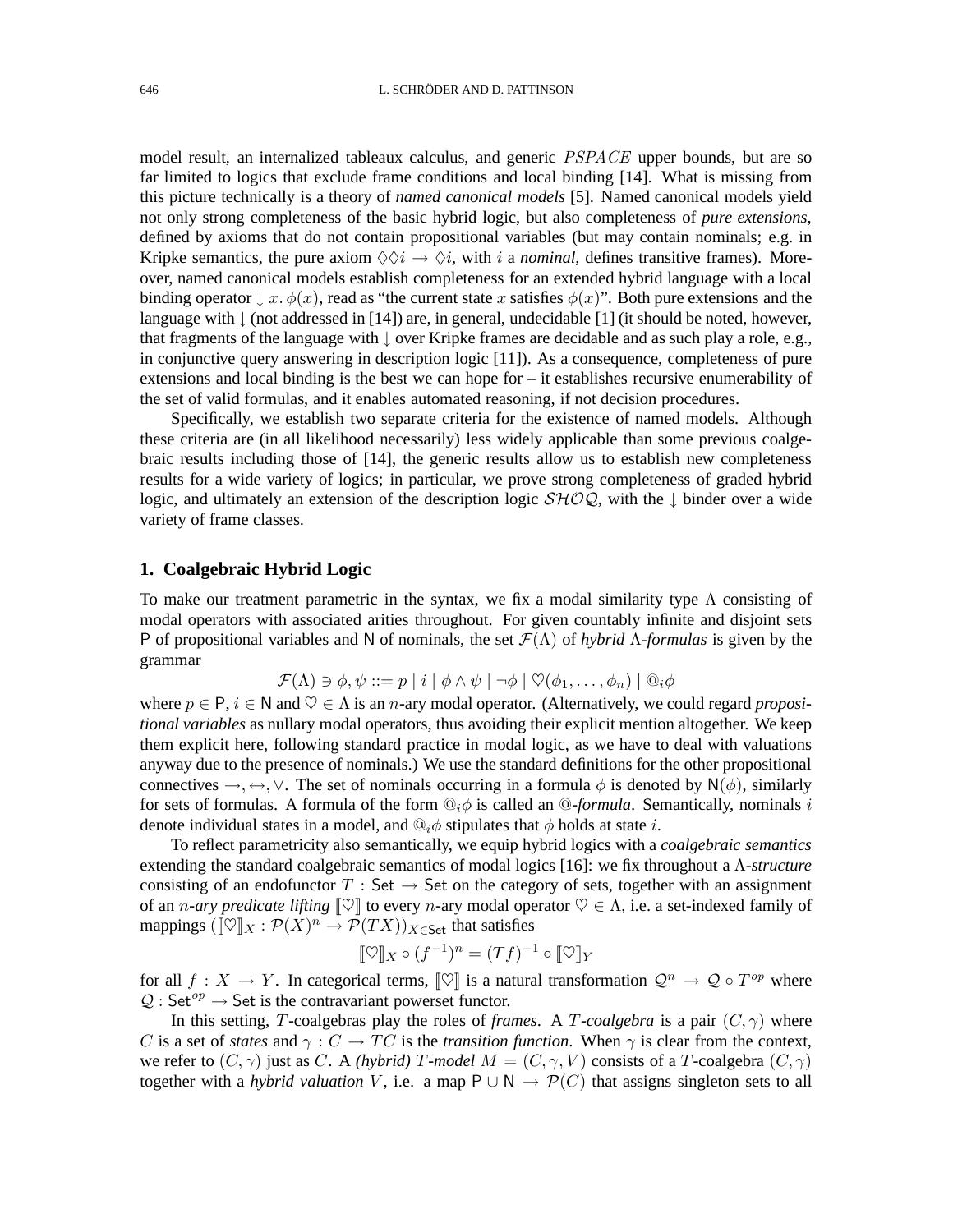model result, an internalized tableaux calculus, and generic *PSPACE* upper bounds, but are so far limited to logics that exclude frame conditions and local binding [14]. What is missing from this picture technically is a theory of *named canonical models* [5]. Named canonical models yield not only strong completeness of the basic hybrid logic, but also completeness of *pure extensions*, defined by axioms that do not contain propositional variables (but may contain nominals; e.g. in Kripke semantics, the pure axiom  $\Diamond \Diamond i \rightarrow \Diamond i$ , with i a *nominal*, defines transitive frames). Moreover, named canonical models establish completeness for an extended hybrid language with a local binding operator  $\downarrow x$ .  $\phi(x)$ , read as "the current state x satisfies  $\phi(x)$ ". Both pure extensions and the language with  $\parallel$  (not addressed in [14]) are, in general, undecidable [1] (it should be noted, however, that fragments of the language with ↓ over Kripke frames are decidable and as such play a role, e.g., in conjunctive query answering in description logic [11]). As a consequence, completeness of pure extensions and local binding is the best we can hope for – it establishes recursive enumerability of the set of valid formulas, and it enables automated reasoning, if not decision procedures.

Specifically, we establish two separate criteria for the existence of named models. Although these criteria are (in all likelihood necessarily) less widely applicable than some previous coalgebraic results including those of [14], the generic results allow us to establish new completeness results for a wide variety of logics; in particular, we prove strong completeness of graded hybrid logic, and ultimately an extension of the description logic  $\mathcal{SHOQ}$ , with the ↓ binder over a wide variety of frame classes.

# **1. Coalgebraic Hybrid Logic**

To make our treatment parametric in the syntax, we fix a modal similarity type  $\Lambda$  consisting of modal operators with associated arities throughout. For given countably infinite and disjoint sets P of propositional variables and N of nominals, the set F(Λ) of *hybrid* Λ*-formulas* is given by the grammar

$$
\mathcal{F}(\Lambda) \ni \phi, \psi ::= p \mid i \mid \phi \land \psi \mid \neg \phi \mid \heartsuit(\phi_1, \dots, \phi_n) \mid @_i \phi
$$

where  $p \in P$ ,  $i \in N$  and  $\heartsuit \in \Lambda$  is an *n*-ary modal operator. (Alternatively, we could regard *propositional variables* as nullary modal operators, thus avoiding their explicit mention altogether. We keep them explicit here, following standard practice in modal logic, as we have to deal with valuations anyway due to the presence of nominals.) We use the standard definitions for the other propositional connectives  $\rightarrow, \leftrightarrow, \vee$ . The set of nominals occurring in a formula  $\phi$  is denoted by N( $\phi$ ), similarly for sets of formulas. A formula of the form  $\mathbb{Q}_i \phi$  is called an  $\mathbb{Q}$ -formula. Semantically, nominals i denote individual states in a model, and  $\mathbb{Q}_i \phi$  stipulates that  $\phi$  holds at state *i*.

To reflect parametricity also semantically, we equip hybrid logics with a *coalgebraic semantics* extending the standard coalgebraic semantics of modal logics [16]: we fix throughout a Λ*-structure* consisting of an endofunctor T : Set  $\rightarrow$  Set on the category of sets, together with an assignment of an *n*-ary predicate lifting  $\llbracket \heartsuit \rrbracket$  to every *n*-ary modal operator  $\heartsuit \in \Lambda$ , i.e. a set-indexed family of mappings  $([\![\heartsuit]\!]_X : \mathcal{P}(X)^n \to \mathcal{P}(TX))_{X \in \mathsf{Set}}$  that satisfies

$$
[\![\heartsuit]\!]_X \circ (f^{-1})^n = (Tf)^{-1} \circ [\![\heartsuit]\!]_Y
$$

for all  $f: X \to Y$ . In categorical terms,  $[\nabla]$  is a natural transformation  $\mathcal{Q}^n \to \mathcal{Q} \circ T^{op}$  where  $Q : Set^{op} \rightarrow Set$  is the contravariant powerset functor.

In this setting, T-coalgebras play the roles of *frames*. A T-coalgebra is a pair  $(C, \gamma)$  where C is a set of *states* and  $\gamma$  :  $C \to TC$  is the *transition function*. When  $\gamma$  is clear from the context, we refer to  $(C, \gamma)$  just as C. A *(hybrid)* T-model  $M = (C, \gamma, V)$  consists of a T-coalgebra  $(C, \gamma)$ together with a *hybrid valuation* V, i.e. a map  $P \cup N \rightarrow P(C)$  that assigns singleton sets to all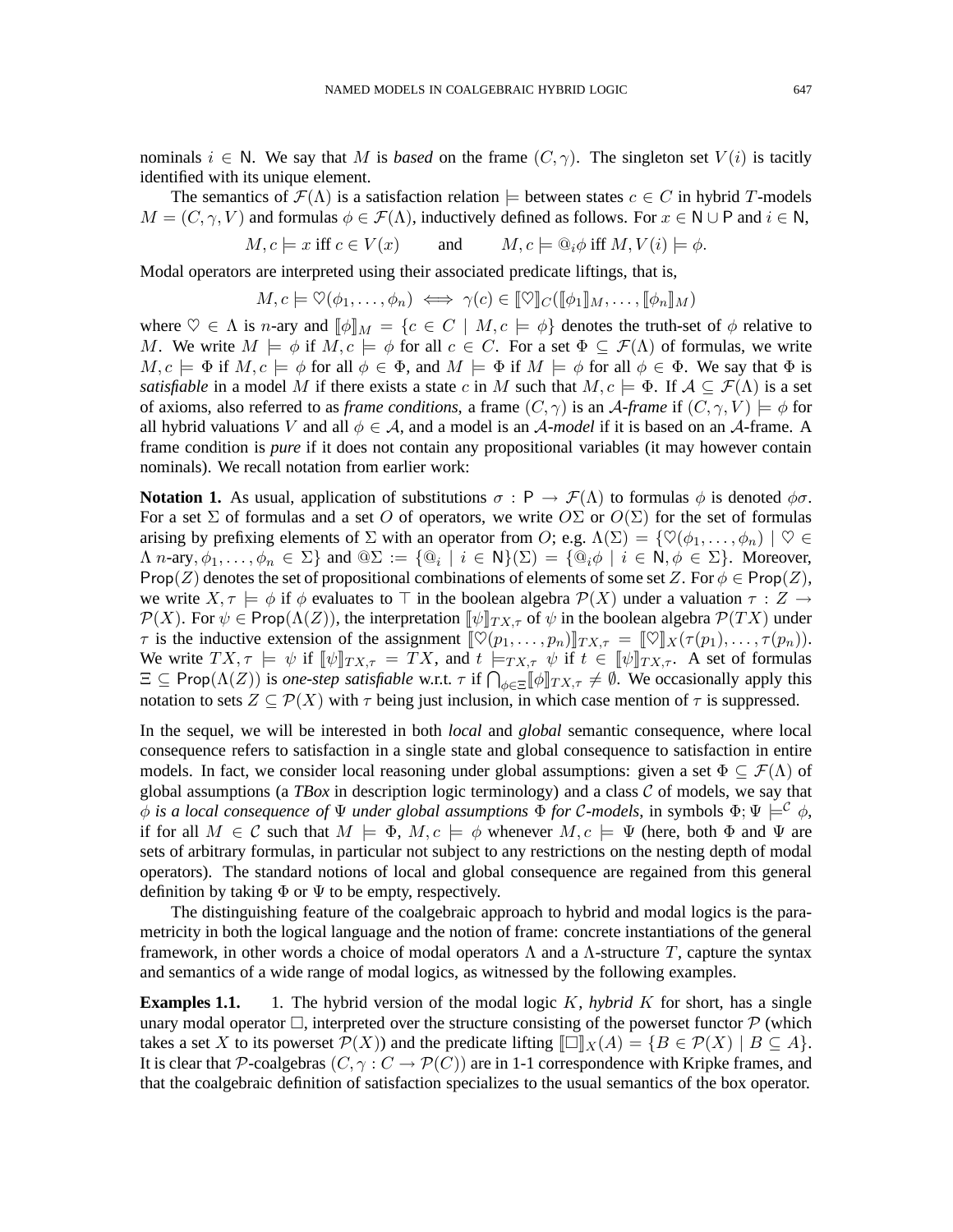nominals  $i \in N$ . We say that M is *based* on the frame  $(C, \gamma)$ . The singleton set  $V(i)$  is tacitly identified with its unique element.

The semantics of  $\mathcal{F}(\Lambda)$  is a satisfaction relation  $\models$  between states  $c \in C$  in hybrid T-models  $M = (C, \gamma, V)$  and formulas  $\phi \in \mathcal{F}(\Lambda)$ , inductively defined as follows. For  $x \in \mathbb{N} \cup \mathbb{P}$  and  $i \in \mathbb{N}$ ,

$$
M, c \models x \text{ iff } c \in V(x) \qquad \text{and} \qquad M, c \models \mathbb{Q}_i \phi \text{ iff } M, V(i) \models \phi.
$$

Modal operators are interpreted using their associated predicate liftings, that is,

$$
M, c \models \heartsuit(\phi_1, \dots, \phi_n) \iff \gamma(c) \in [\![\heartsuit]\!]_C([\![\phi_1]\!]_M, \dots, [\![\phi_n]\!]_M)
$$

where  $\heartsuit \in \Lambda$  is *n*-ary and  $\llbracket \phi \rrbracket_M = \{c \in C \mid M, c \models \phi\}$  denotes the truth-set of  $\phi$  relative to M. We write  $M \models \phi$  if  $M, c \models \phi$  for all  $c \in C$ . For a set  $\Phi \subseteq \mathcal{F}(\Lambda)$  of formulas, we write  $M, c \models \Phi$  if  $M, c \models \phi$  for all  $\phi \in \Phi$ , and  $M \models \Phi$  if  $M \models \phi$  for all  $\phi \in \Phi$ . We say that  $\Phi$  is *satisfiable* in a model M if there exists a state c in M such that  $M, c \models \Phi$ . If  $A \subseteq \mathcal{F}(\Lambda)$  is a set of axioms, also referred to as *frame conditions*, a frame  $(C, \gamma)$  is an A-*frame* if  $(C, \gamma, V) \models \phi$  for all hybrid valuations V and all  $\phi \in A$ , and a model is an A-model if it is based on an A-frame. A frame condition is *pure* if it does not contain any propositional variables (it may however contain nominals). We recall notation from earlier work:

**Notation 1.** As usual, application of substitutions  $\sigma : P \to \mathcal{F}(\Lambda)$  to formulas  $\phi$  is denoted  $\phi\sigma$ . For a set  $\Sigma$  of formulas and a set O of operators, we write  $O\Sigma$  or  $O(\Sigma)$  for the set of formulas arising by prefixing elements of  $\Sigma$  with an operator from O; e.g.  $\Lambda(\Sigma) = \{ \heartsuit(\phi_1, \ldots, \phi_n) \mid \heartsuit \in \Sigma \}$  $\Lambda$  *n*-ary,  $\phi_1,\ldots,\phi_n \in \Sigma$ } and  $@ \Sigma := \{ @i \mid i \in \mathsf{N} \}(\Sigma) = \{ @i \phi \mid i \in \mathsf{N}, \phi \in \Sigma \}$ . Moreover, Prop(Z) denotes the set of propositional combinations of elements of some set Z. For  $\phi \in \text{Prop}(Z)$ , we write  $X, \tau \models \phi$  if  $\phi$  evaluates to  $\top$  in the boolean algebra  $\mathcal{P}(X)$  under a valuation  $\tau : Z \rightarrow$  $\mathcal{P}(X)$ . For  $\psi \in \text{Prop}(\Lambda(Z))$ , the interpretation  $\llbracket \psi \rrbracket_{TX,\tau}$  of  $\psi$  in the boolean algebra  $\mathcal{P}(TX)$  under  $\tau$  is the inductive extension of the assignment  $[\![\heartsuit(p_1,\ldots,p_n)]\!]_{TX,\tau} = [\![\heartsuit]\!]_X(\tau(p_1),\ldots,\tau(p_n)).$ We write  $TX, \tau \models \psi$  if  $[\![\psi]\!]_{TX, \tau} = TX$ , and  $t \models_{TX, \tau} \psi$  if  $t \in [\![\psi]\!]_{TX, \tau}$ . A set of formulas  $\Xi \subseteq \text{Prop}(\Lambda(Z))$  is *one-step satisfiable* w.r.t.  $\tau$  if  $\bigcap_{\phi \in \Xi} [\![\phi]\!]_{TX,\tau} \neq \emptyset$ . We occasionally apply this notation to sets  $Z \subseteq \mathcal{P}(X)$  with  $\tau$  being just inclusion, in which case mention of  $\tau$  is suppressed.

In the sequel, we will be interested in both *local* and *global* semantic consequence, where local consequence refers to satisfaction in a single state and global consequence to satisfaction in entire models. In fact, we consider local reasoning under global assumptions: given a set  $\Phi \subseteq \mathcal{F}(\Lambda)$  of global assumptions (a *TBox* in description logic terminology) and a class  $C$  of models, we say that φ is a local consequence of  $\Psi$  *under global assumptions*  $\Phi$  *for* C-models, in symbols  $\Phi$ ;  $\Psi \models^{\mathcal{C}} \phi$ , if for all  $M \in \mathcal{C}$  such that  $M \models \Phi, M, c \models \phi$  whenever  $M, c \models \Psi$  (here, both  $\Phi$  and  $\Psi$  are sets of arbitrary formulas, in particular not subject to any restrictions on the nesting depth of modal operators). The standard notions of local and global consequence are regained from this general definition by taking  $\Phi$  or  $\Psi$  to be empty, respectively.

The distinguishing feature of the coalgebraic approach to hybrid and modal logics is the parametricity in both the logical language and the notion of frame: concrete instantiations of the general framework, in other words a choice of modal operators  $\Lambda$  and a  $\Lambda$ -structure T, capture the syntax and semantics of a wide range of modal logics, as witnessed by the following examples.

**Examples 1.1.** 1. The hybrid version of the modal logic K, *hybrid K* for short, has a single unary modal operator  $\Box$ , interpreted over the structure consisting of the powerset functor  $\mathcal P$  (which takes a set X to its powerset  $\mathcal{P}(X)$  and the predicate lifting  $\llbracket \Box \rrbracket_X(A) = \{ B \in \mathcal{P}(X) \mid B \subseteq A \}.$ It is clear that P-coalgebras  $(C, \gamma : C \to \mathcal{P}(C))$  are in 1-1 correspondence with Kripke frames, and that the coalgebraic definition of satisfaction specializes to the usual semantics of the box operator.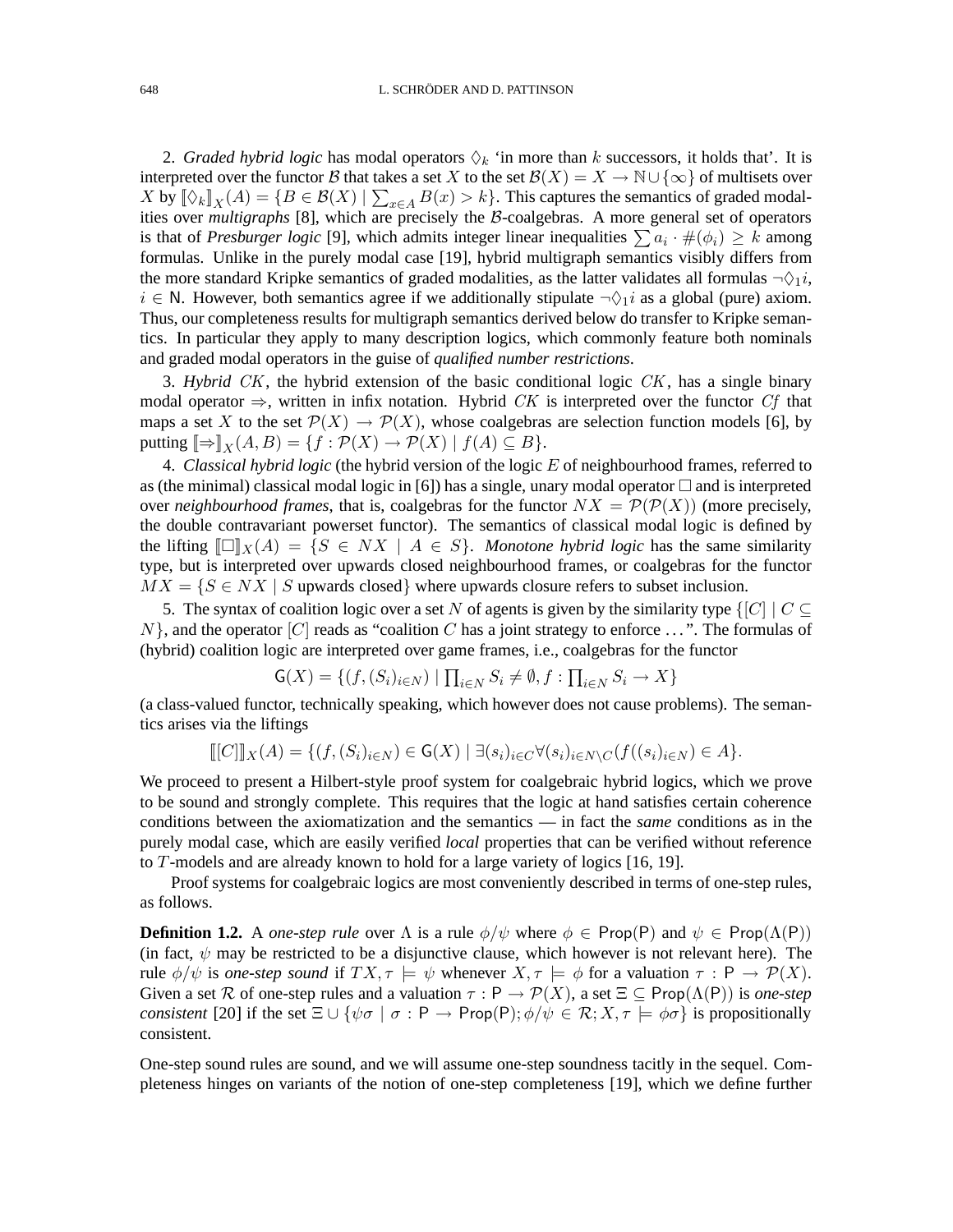2. *Graded hybrid logic* has modal operators  $\Diamond_k$  'in more than k successors, it holds that'. It is interpreted over the functor B that takes a set X to the set  $\mathcal{B}(X) = X \to \mathbb{N} \cup \{\infty\}$  of multisets over X by  $[\![\Diamond_k]\!]_X(A) = \{B \in \mathcal{B}(X) \mid \sum_{x \in A} B(x) > k\}.$  This captures the semantics of graded modalities over *multigraphs* [8], which are precisely the B-coalgebras. A more general set of operators is that of *Presburger logic* [9], which admits integer linear inequalities  $\sum a_i \cdot \#(\phi_i) \geq k$  among formulas. Unlike in the purely modal case [19], hybrid multigraph semantics visibly differs from the more standard Kripke semantics of graded modalities, as the latter validates all formulas  $\neg \Diamond_1 i$ ,  $i \in \mathbb{N}$ . However, both semantics agree if we additionally stipulate  $\neg \Diamond_1 i$  as a global (pure) axiom. Thus, our completeness results for multigraph semantics derived below do transfer to Kripke semantics. In particular they apply to many description logics, which commonly feature both nominals and graded modal operators in the guise of *qualified number restrictions*.

3. *Hybrid* CK, the hybrid extension of the basic conditional logic CK , has a single binary modal operator  $\Rightarrow$ , written in infix notation. Hybrid CK is interpreted over the functor Cf that maps a set X to the set  $\mathcal{P}(X) \to \mathcal{P}(X)$ , whose coalgebras are selection function models [6], by putting  $[\Rightarrow]_X(A, B) = \{f : \mathcal{P}(X) \to \mathcal{P}(X) \mid f(A) \subseteq B\}.$ 

4. *Classical hybrid logic* (the hybrid version of the logic E of neighbourhood frames, referred to as (the minimal) classical modal logic in [6]) has a single, unary modal operator  $\Box$  and is interpreted over *neighbourhood frames*, that is, coalgebras for the functor  $NX = \mathcal{P}(\mathcal{P}(X))$  (more precisely, the double contravariant powerset functor). The semantics of classical modal logic is defined by the lifting  $\llbracket \Box \rrbracket_X(A) = \{ S \in N X \mid A \in S \}$ . Monotone hybrid logic has the same similarity type, but is interpreted over upwards closed neighbourhood frames, or coalgebras for the functor  $MX = \{S \in NX \mid S \text{ upwards closed}\}\$  where upwards closure refers to subset inclusion.

5. The syntax of coalition logic over a set N of agents is given by the similarity type  $\{[C] \mid C \subseteq$  $N$ , and the operator  $[C]$  reads as "coalition C has a joint strategy to enforce ...". The formulas of (hybrid) coalition logic are interpreted over game frames, i.e., coalgebras for the functor

$$
\mathsf{G}(X) = \{ (f, (S_i)_{i \in N}) \mid \prod_{i \in N} S_i \neq \emptyset, f : \prod_{i \in N} S_i \to X \}
$$

(a class-valued functor, technically speaking, which however does not cause problems). The semantics arises via the liftings

$$
\llbracket [C] \rrbracket_X(A) = \{ (f, (S_i)_{i \in N}) \in \mathsf{G}(X) \mid \exists (s_i)_{i \in C} \forall (s_i)_{i \in N \setminus C} (f((s_i)_{i \in N}) \in A \}.
$$

We proceed to present a Hilbert-style proof system for coalgebraic hybrid logics, which we prove to be sound and strongly complete. This requires that the logic at hand satisfies certain coherence conditions between the axiomatization and the semantics — in fact the *same* conditions as in the purely modal case, which are easily verified *local* properties that can be verified without reference to T-models and are already known to hold for a large variety of logics [16, 19].

Proof systems for coalgebraic logics are most conveniently described in terms of one-step rules, as follows.

**Definition 1.2.** A *one-step rule* over  $\Lambda$  is a rule  $\phi/\psi$  where  $\phi \in \text{Prop}(P)$  and  $\psi \in \text{Prop}(\Lambda(P))$ (in fact,  $\psi$  may be restricted to be a disjunctive clause, which however is not relevant here). The rule  $\phi/\psi$  is *one-step sound* if  $TX, \tau \models \psi$  whenever  $X, \tau \models \phi$  for a valuation  $\tau : \mathsf{P} \to \mathcal{P}(X)$ . Given a set R of one-step rules and a valuation  $\tau : P \to P(X)$ , a set  $\Xi \subseteq \text{Prop}(\Lambda(P))$  is *one-step consistent* [20] if the set  $\Xi \cup {\psi \sigma \mid \sigma : P \to \text{Prop}(P); \phi/\psi \in \mathcal{R}; X, \tau \models \phi \sigma}$  is propositionally consistent.

One-step sound rules are sound, and we will assume one-step soundness tacitly in the sequel. Completeness hinges on variants of the notion of one-step completeness [19], which we define further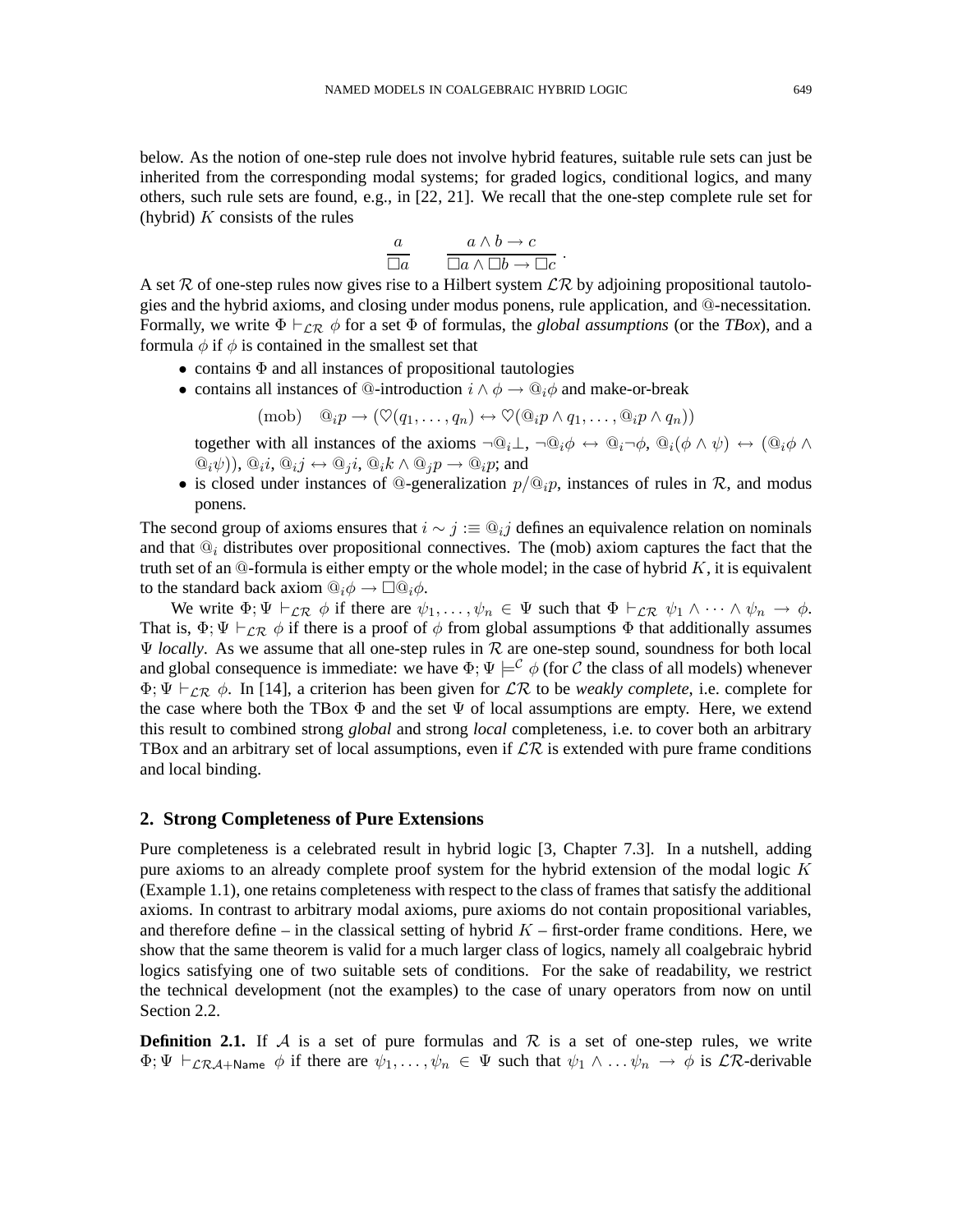below. As the notion of one-step rule does not involve hybrid features, suitable rule sets can just be inherited from the corresponding modal systems; for graded logics, conditional logics, and many others, such rule sets are found, e.g., in [22, 21]. We recall that the one-step complete rule set for (hybrid)  $K$  consists of the rules

$$
\frac{a}{\Box a} \qquad \frac{a \wedge b \to c}{\Box a \wedge \Box b \to \Box c} \ .
$$

A set R of one-step rules now gives rise to a Hilbert system  $\mathcal{LR}$  by adjoining propositional tautologies and the hybrid axioms, and closing under modus ponens, rule application, and @-necessitation. Formally, we write  $\Phi \vdash_{\mathcal{LR}} \phi$  for a set  $\Phi$  of formulas, the *global assumptions* (or the *TBox*), and a formula  $\phi$  if  $\phi$  is contained in the smallest set that

- $\bullet$  contains  $\Phi$  and all instances of propositional tautologies
- contains all instances of  $@$ -introduction  $i \wedge \phi \rightarrow @_{i}\phi$  and make-or-break

$$
(\text{mob}) \quad @_{i}p \rightarrow (\heartsuit(q_1, \ldots, q_n) \leftrightarrow \heartsuit(@_{i}p \land q_1, \ldots, @_{i}p \land q_n))
$$

together with all instances of the axioms  $\neg \mathbb{Q}_i \bot$ ,  $\neg \mathbb{Q}_i \phi \leftrightarrow \mathbb{Q}_i \neg \phi$ ,  $\mathbb{Q}_i (\phi \wedge \psi) \leftrightarrow (\mathbb{Q}_i \phi \wedge \psi)$  $(\mathbb{Q}_i\psi)$ ,  $\mathbb{Q}_i i$ ,  $\mathbb{Q}_i j \leftrightarrow \mathbb{Q}_i i$ ,  $\mathbb{Q}_i k \wedge \mathbb{Q}_i p \rightarrow \mathbb{Q}_i p$ ; and

• is closed under instances of @-generalization  $p/\mathbb{Q}_i p$ , instances of rules in R, and modus ponens.

The second group of axioms ensures that  $i \sim j := \mathbb{Q}_{i,j}$  defines an equivalence relation on nominals and that  $\mathbb{Q}_i$  distributes over propositional connectives. The (mob) axiom captures the fact that the truth set of an  $@$ -formula is either empty or the whole model; in the case of hybrid K, it is equivalent to the standard back axiom  $\mathcal{Q}_i \phi \to \Box \mathcal{Q}_i \phi$ .

We write  $\Phi$ ;  $\Psi \vdash_{\mathcal{LR}} \phi$  if there are  $\psi_1,\ldots,\psi_n \in \Psi$  such that  $\Phi \vdash_{\mathcal{LR}} \psi_1 \wedge \cdots \wedge \psi_n \to \phi$ . That is,  $\Phi$ ;  $\Psi \vdash_{\mathcal{LR}} \phi$  if there is a proof of  $\phi$  from global assumptions  $\Phi$  that additionally assumes  $\Psi$  *locally*. As we assume that all one-step rules in  $R$  are one-step sound, soundness for both local and global consequence is immediate: we have  $\Phi$ ;  $\Psi \models^{\mathcal{C}} \phi$  (for C the class of all models) whenever  $\Phi$ ;  $\Psi \vdash_{\mathcal{LR}} \phi$ . In [14], a criterion has been given for  $\mathcal{LR}$  to be *weakly complete*, i.e. complete for the case where both the TBox  $\Phi$  and the set  $\Psi$  of local assumptions are empty. Here, we extend this result to combined strong *global* and strong *local* completeness, i.e. to cover both an arbitrary TBox and an arbitrary set of local assumptions, even if  $\mathcal{LR}$  is extended with pure frame conditions and local binding.

#### **2. Strong Completeness of Pure Extensions**

Pure completeness is a celebrated result in hybrid logic [3, Chapter 7.3]. In a nutshell, adding pure axioms to an already complete proof system for the hybrid extension of the modal logic  $K$ (Example 1.1), one retains completeness with respect to the class of frames that satisfy the additional axioms. In contrast to arbitrary modal axioms, pure axioms do not contain propositional variables, and therefore define – in the classical setting of hybrid  $K$  – first-order frame conditions. Here, we show that the same theorem is valid for a much larger class of logics, namely all coalgebraic hybrid logics satisfying one of two suitable sets of conditions. For the sake of readability, we restrict the technical development (not the examples) to the case of unary operators from now on until Section 2.2.

**Definition 2.1.** If A is a set of pure formulas and R is a set of one-step rules, we write  $\Phi$ ;  $\Psi \vdash_{\mathcal{LRA}+\mathsf{Name}} \phi$  if there are  $\psi_1,\ldots,\psi_n \in \Psi$  such that  $\psi_1 \wedge \ldots \psi_n \to \phi$  is  $\mathcal{LR}\text{-derivable}$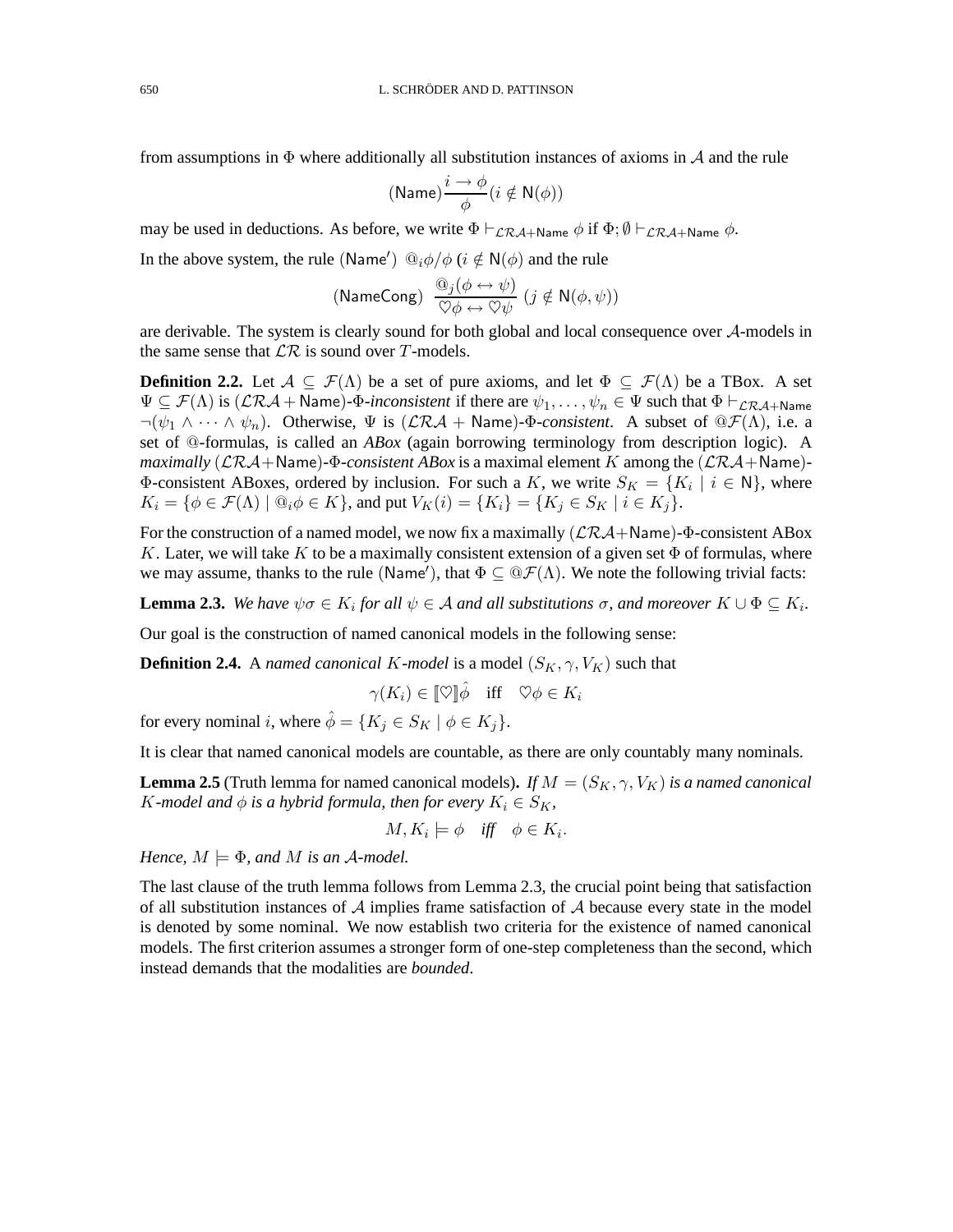from assumptions in  $\Phi$  where additionally all substitution instances of axioms in A and the rule

$$
(\textsf{Name})\frac{i\rightarrow \phi}{\phi}(i\notin \textsf{N}(\phi))
$$

may be used in deductions. As before, we write  $\Phi \vdash_{\mathcal{LR}A+\mathsf{Name}} \phi$  if  $\Phi$ ;  $\emptyset \vdash_{\mathcal{LR}A+\mathsf{Name}} \phi$ .

In the above system, the rule (Name')  $\mathcal{Q}_i \phi / \phi$  ( $i \notin N(\phi)$  and the rule

(NameCong) 
$$
\frac{\mathbb{Q}_j(\phi \leftrightarrow \psi)}{\mathbb{Q}\phi \leftrightarrow \mathbb{Q}\psi}
$$
  $(j \notin \mathsf{N}(\phi, \psi))$ 

are derivable. The system is clearly sound for both global and local consequence over A-models in the same sense that  $\mathcal{LR}$  is sound over T-models.

**Definition 2.2.** Let  $A \subseteq \mathcal{F}(\Lambda)$  be a set of pure axioms, and let  $\Phi \subseteq \mathcal{F}(\Lambda)$  be a TBox. A set  $\Psi \subseteq \mathcal{F}(\Lambda)$  is  $(\mathcal{LRA} + \text{Name})$ - $\Phi$ -inconsistent if there are  $\psi_1, \dots, \psi_n \in \Psi$  such that  $\Phi \vdash_{\mathcal{LRA} + \text{Name}}$  $\neg(\psi_1 \wedge \cdots \wedge \psi_n)$ . Otherwise,  $\Psi$  is  $(\mathcal{LRA} + \text{Name})$ - $\Phi$ -consistent. A subset of  $\mathcal{QF}(\Lambda)$ , i.e. a set of @-formulas, is called an *ABox* (again borrowing terminology from description logic). A *maximally*  $(\mathcal{LRA} + \mathsf{Name}) - \Phi$ *-consistent ABox* is a maximal element K among the  $(\mathcal{LRA} + \mathsf{Name}) \Phi$ -consistent ABoxes, ordered by inclusion. For such a K, we write  $S_K = \{K_i \mid i \in \mathbb{N}\}\,$ , where  $K_i = \{ \phi \in \mathcal{F}(\Lambda) \mid \mathbb{Q}_i \phi \in K \}$ , and put  $V_K(i) = \{ K_i \} = \{ K_j \in S_K \mid i \in K_j \}$ .

For the construction of a named model, we now fix a maximally  $(\mathcal{LRA}+\mathsf{Name})\text{-}\Phi\text{-consistent ABox}$ K. Later, we will take K to be a maximally consistent extension of a given set  $\Phi$  of formulas, where we may assume, thanks to the rule (Name'), that  $\Phi \subseteq \Theta \mathcal{F}(\Lambda)$ . We note the following trivial facts:

**Lemma 2.3.** We have  $\psi \sigma \in K_i$  for all  $\psi \in A$  and all substitutions  $\sigma$ , and moreover  $K \cup \Phi \subseteq K_i$ .

Our goal is the construction of named canonical models in the following sense:

**Definition 2.4.** A *named canonical K-model* is a model  $(S_K, \gamma, V_K)$  such that

$$
\gamma(K_i)\in [\![ \heartsuit ]\!] \hat{\phi} \quad \text{iff} \quad \heartsuit\phi \in K_i
$$

for every nominal i, where  $\hat{\phi} = \{K_i \in S_K \mid \phi \in K_i\}.$ 

It is clear that named canonical models are countable, as there are only countably many nominals.

**Lemma 2.5** (Truth lemma for named canonical models). *If*  $M = (S_K, \gamma, V_K)$  *is a named canonical* K-model and  $\phi$  *is a hybrid formula, then for every*  $K_i \in S_K$ ,

$$
M, K_i \models \phi \quad \text{iff} \quad \phi \in K_i.
$$

*Hence,*  $M \models \Phi$ *, and*  $M$  *is an*  $\mathcal{A}\text{-model}$ *.* 

The last clause of the truth lemma follows from Lemma 2.3, the crucial point being that satisfaction of all substitution instances of  $A$  implies frame satisfaction of  $A$  because every state in the model is denoted by some nominal. We now establish two criteria for the existence of named canonical models. The first criterion assumes a stronger form of one-step completeness than the second, which instead demands that the modalities are *bounded*.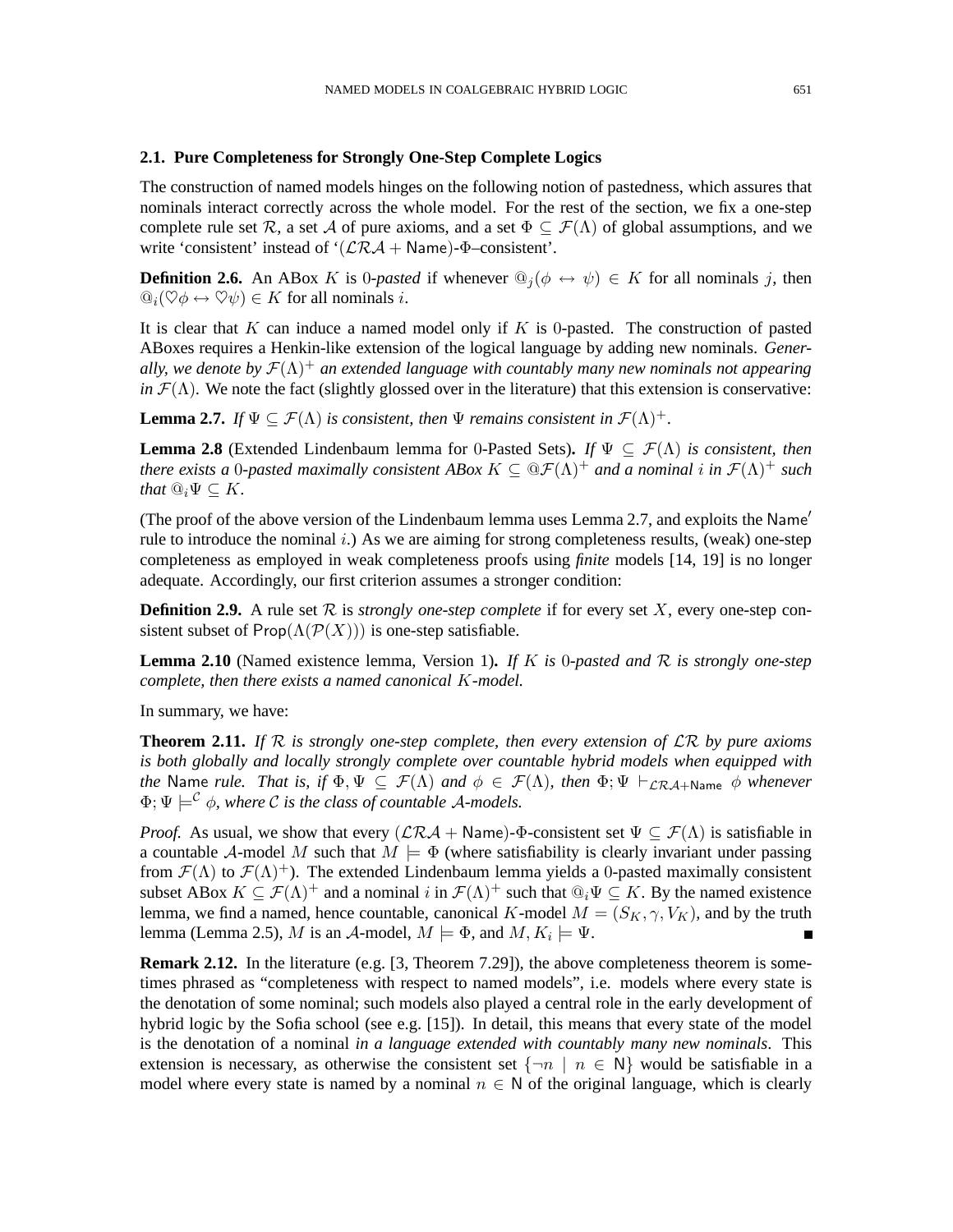#### **2.1. Pure Completeness for Strongly One-Step Complete Logics**

The construction of named models hinges on the following notion of pastedness, which assures that nominals interact correctly across the whole model. For the rest of the section, we fix a one-step complete rule set R, a set A of pure axioms, and a set  $\Phi \subset \mathcal{F}(\Lambda)$  of global assumptions, and we write 'consistent' instead of ' $(\mathcal{LRA} + \text{Name})$ - $\Phi$ -consistent'.

**Definition 2.6.** An ABox K is 0-pasted if whenever  $\mathbb{Q}_i(\phi \leftrightarrow \psi) \in K$  for all nominals j, then  $\mathbb{Q}_i(\heartsuit\phi\leftrightarrow\heartsuit\psi)\in K$  for all nominals *i*.

It is clear that K can induce a named model only if K is 0-pasted. The construction of pasted ABoxes requires a Henkin-like extension of the logical language by adding new nominals. *Generally, we denote by*  $\mathcal{F}(\Lambda)^+$  *an extended language with countably many new nominals not appearing in*  $\mathcal{F}(\Lambda)$ . We note the fact (slightly glossed over in the literature) that this extension is conservative:

**Lemma 2.7.** *If*  $\Psi \subseteq \mathcal{F}(\Lambda)$  *is consistent, then*  $\Psi$  *remains consistent in*  $\mathcal{F}(\Lambda)^+$ .

**Lemma 2.8** (Extended Lindenbaum lemma for 0-Pasted Sets). *If*  $\Psi \subset \mathcal{F}(\Lambda)$  *is consistent, then there exists a* 0-pasted maximally consistent ABox  $K \subseteq \mathbb{Q}\mathcal{F}(\Lambda)^+$  and a nominal i in  $\mathcal{F}(\Lambda)^+$  such *that*  $\mathbb{Q}_i \Psi \subset K$ .

(The proof of the above version of the Lindenbaum lemma uses Lemma 2.7, and exploits the Name′ rule to introduce the nominal  $i$ .) As we are aiming for strong completeness results, (weak) one-step completeness as employed in weak completeness proofs using *finite* models [14, 19] is no longer adequate. Accordingly, our first criterion assumes a stronger condition:

**Definition 2.9.** A rule set  $\mathcal R$  is *strongly one-step complete* if for every set  $X$ , every one-step consistent subset of  $\text{Prop}(\Lambda(\mathcal{P}(X)))$  is one-step satisfiable.

**Lemma 2.10** (Named existence lemma, Version 1)**.** *If* K *is* 0*-pasted and* R *is strongly one-step complete, then there exists a named canonical* K*-model.*

In summary, we have:

**Theorem 2.11.** *If* R *is strongly one-step complete, then every extension of* LR *by pure axioms is both globally and locally strongly complete over countable hybrid models when equipped with the* Name *rule. That is, if*  $\Phi, \Psi \subseteq \mathcal{F}(\Lambda)$  *and*  $\phi \in \mathcal{F}(\Lambda)$ *, then*  $\Phi$ ;  $\Psi \vdash_{\mathcal{LRA}+\mathsf{Name}} \phi$  *whenever*  $\Phi$ ;  $\Psi \models^{\mathcal{C}} \phi$ , where  $\mathcal{C}$  *is the class of countable A-models.* 

*Proof.* As usual, we show that every  $(\mathcal{LRA} + \text{Name})$ - $\Phi$ -consistent set  $\Psi \subset \mathcal{F}(\Lambda)$  is satisfiable in a countable A-model M such that  $M \models \Phi$  (where satisfiability is clearly invariant under passing from  $\mathcal{F}(\Lambda)$  to  $\mathcal{F}(\Lambda)^+$ ). The extended Lindenbaum lemma yields a 0-pasted maximally consistent subset ABox  $K \subseteq \mathcal{F}(\Lambda)^+$  and a nominal i in  $\mathcal{F}(\Lambda)^+$  such that  $\mathbb{Q}_i \Psi \subseteq K$ . By the named existence lemma, we find a named, hence countable, canonical K-model  $M = (S_K, \gamma, V_K)$ , and by the truth lemma (Lemma 2.5), M is an A-model,  $M \models \Phi$ , and  $M, K_i \models \Psi$ .

**Remark 2.12.** In the literature (e.g. [3, Theorem 7.29]), the above completeness theorem is sometimes phrased as "completeness with respect to named models", i.e. models where every state is the denotation of some nominal; such models also played a central role in the early development of hybrid logic by the Sofia school (see e.g. [15]). In detail, this means that every state of the model is the denotation of a nominal *in a language extended with countably many new nominals*. This extension is necessary, as otherwise the consistent set  $\{\neg n \mid n \in \mathbb{N}\}\$  would be satisfiable in a model where every state is named by a nominal  $n \in \mathbb{N}$  of the original language, which is clearly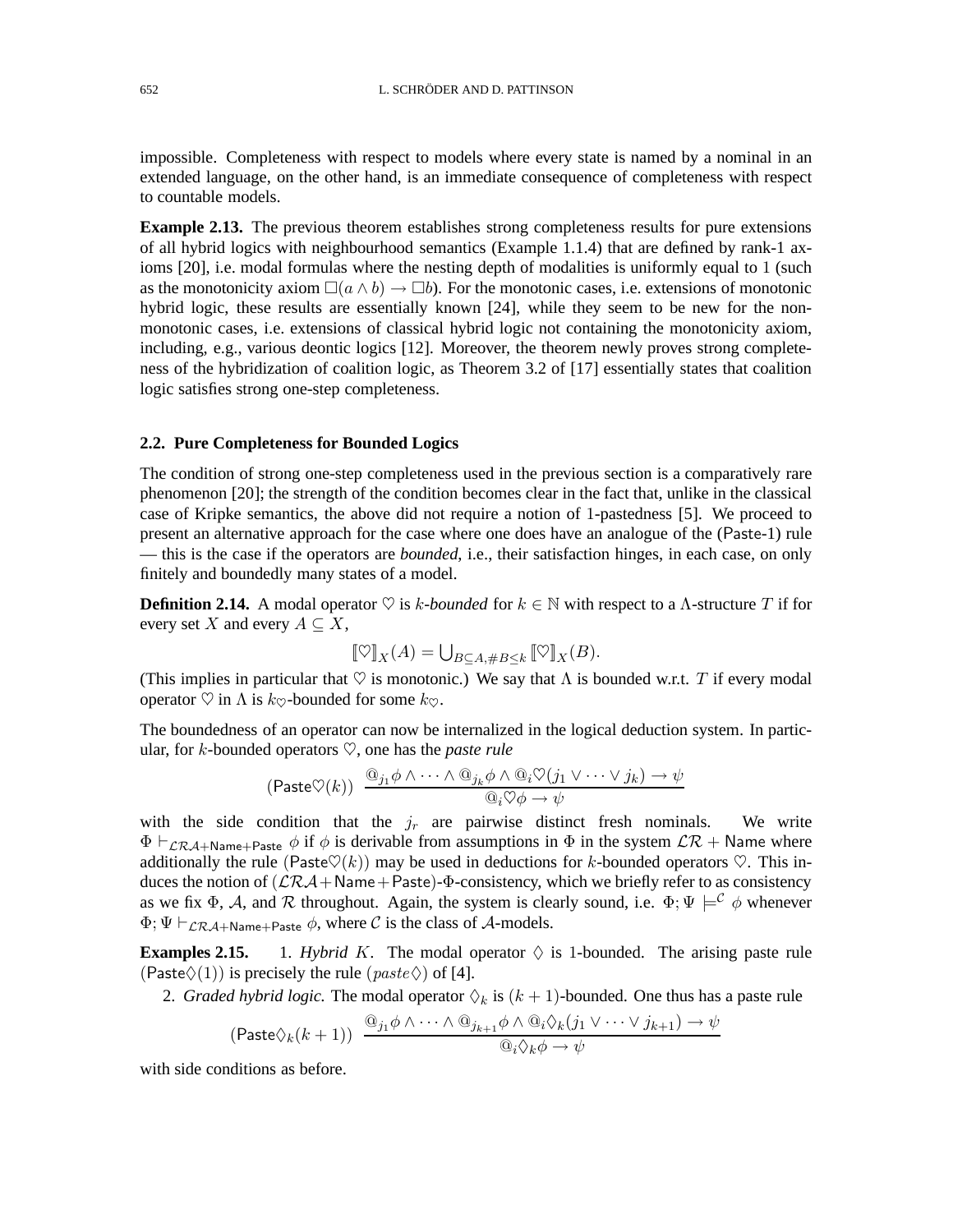impossible. Completeness with respect to models where every state is named by a nominal in an extended language, on the other hand, is an immediate consequence of completeness with respect to countable models.

**Example 2.13.** The previous theorem establishes strong completeness results for pure extensions of all hybrid logics with neighbourhood semantics (Example 1.1.4) that are defined by rank-1 axioms [20], i.e. modal formulas where the nesting depth of modalities is uniformly equal to 1 (such as the monotonicity axiom  $\square(a \wedge b) \rightarrow \square b$ . For the monotonic cases, i.e. extensions of monotonic hybrid logic, these results are essentially known [24], while they seem to be new for the nonmonotonic cases, i.e. extensions of classical hybrid logic not containing the monotonicity axiom, including, e.g., various deontic logics [12]. Moreover, the theorem newly proves strong completeness of the hybridization of coalition logic, as Theorem 3.2 of [17] essentially states that coalition logic satisfies strong one-step completeness.

#### **2.2. Pure Completeness for Bounded Logics**

The condition of strong one-step completeness used in the previous section is a comparatively rare phenomenon [20]; the strength of the condition becomes clear in the fact that, unlike in the classical case of Kripke semantics, the above did not require a notion of 1-pastedness [5]. We proceed to present an alternative approach for the case where one does have an analogue of the (Paste-1) rule — this is the case if the operators are *bounded*, i.e., their satisfaction hinges, in each case, on only finitely and boundedly many states of a model.

**Definition 2.14.** A modal operator  $\heartsuit$  is k-bounded for  $k \in \mathbb{N}$  with respect to a  $\Lambda$ -structure T if for every set X and every  $A \subseteq X$ ,

$$
[\![ \heartsuit ]\!]_X(A) = \bigcup_{B \subseteq A, \#B \leq k} [\![ \heartsuit ]\!]_X(B).
$$

(This implies in particular that  $\heartsuit$  is monotonic.) We say that  $\Lambda$  is bounded w.r.t. T if every modal operator  $\heartsuit$  in  $\Lambda$  is  $k_{\heartsuit}$ -bounded for some  $k_{\heartsuit}$ .

The boundedness of an operator can now be internalized in the logical deduction system. In particular, for *k*-bounded operators  $\heartsuit$ , one has the *paste rule* 

$$
\text{(Paste } \heartsuit(k)) \xrightarrow{\textcircled{a}_{j_1} \phi \land \cdots \land \textcircled{a}_{j_k} \phi \land \textcircled{a}_i \heartsuit(j_1 \lor \cdots \lor j_k) \to \psi}{\textcircled{a}_i \heartsuit \phi \to \psi}
$$

with the side condition that the  $j_r$  are pairwise distinct fresh nominals. We write  $\Phi \vdash_{\mathcal{LRA}+\mathsf{Name}+\mathsf{Paste}} \phi$  if  $\phi$  is derivable from assumptions in  $\Phi$  in the system  $\mathcal{LR}+\mathsf{Name}$  where additionally the rule (Paste $\heartsuit(k)$ ) may be used in deductions for k-bounded operators  $\heartsuit$ . This induces the notion of  $(\mathcal{LRA} + \text{Name} + \text{Paste}) - \Phi$ -consistency, which we briefly refer to as consistency as we fix  $\Phi$ , A, and R throughout. Again, the system is clearly sound, i.e.  $\Phi$ ;  $\Psi \models^{\mathcal{C}} \phi$  whenever  $\Phi$ ;  $\Psi \vdash_{\mathcal{LRA} + \text{Name} + \text{Paste}} \phi$ , where C is the class of A-models.

**Examples 2.15.** 1. *Hybrid K*. The modal operator  $\Diamond$  is 1-bounded. The arising paste rule (Paste $\Diamond(1)$ ) is precisely the rule (paste $\Diamond$ ) of [4].

2. *Graded hybrid logic*. The modal operator  $\Diamond_k$  is  $(k + 1)$ -bounded. One thus has a paste rule

$$
(\mathsf{Paste}\lozenge_k(k+1)) \xrightarrow{\textcircled{0}_{j_1}\phi \wedge \cdots \wedge \textcircled{0}_{j_{k+1}}\phi \wedge \textcircled{0}_i\lozenge_k(j_1 \vee \cdots \vee j_{k+1}) \rightarrow \psi}{\textcircled{0}_i\lozenge_k\phi \rightarrow \psi}
$$

with side conditions as before.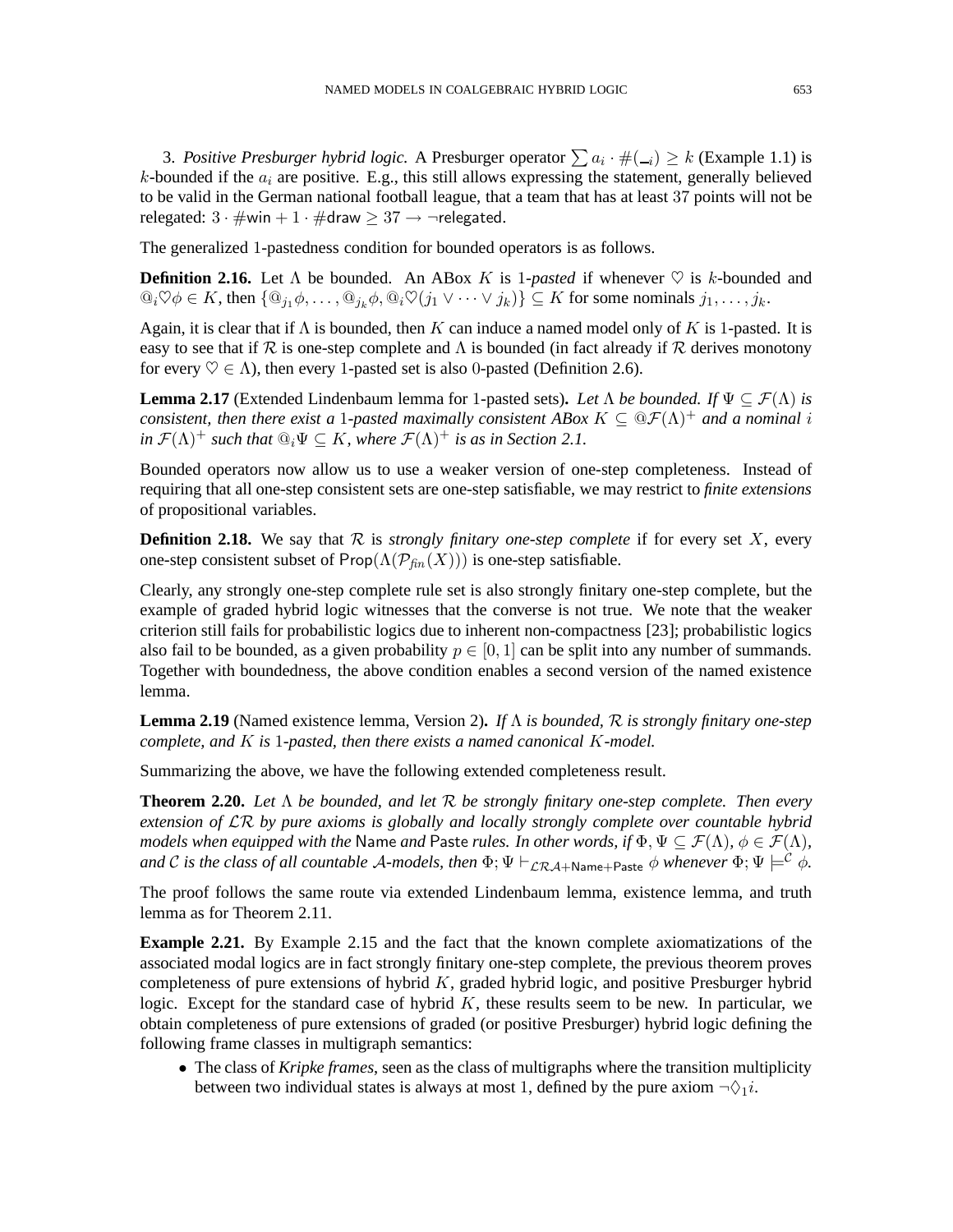3. Positive Presburger hybrid logic. A Presburger operator  $\sum a_i \cdot \#(\_i) \geq k$  (Example 1.1) is k-bounded if the  $a_i$  are positive. E.g., this still allows expressing the statement, generally believed to be valid in the German national football league, that a team that has at least 37 points will not be relegated:  $3 \cdot \#$ win +  $1 \cdot \#$ draw  $> 37 \rightarrow \neg$ relegated.

The generalized 1-pastedness condition for bounded operators is as follows.

**Definition 2.16.** Let  $\Lambda$  be bounded. An ABox K is 1-pasted if whenever  $\heartsuit$  is k-bounded and  $\mathbb{Q}_i \heartsuit \phi \in K$ , then  $\{\mathbb{Q}_{j_1} \phi, \ldots, \mathbb{Q}_{j_k} \phi, \mathbb{Q}_i \heartsuit(j_1 \vee \cdots \vee j_k)\} \subseteq K$  for some nominals  $j_1, \ldots, j_k$ .

Again, it is clear that if  $\Lambda$  is bounded, then K can induce a named model only of K is 1-pasted. It is easy to see that if  $\mathcal R$  is one-step complete and  $\Lambda$  is bounded (in fact already if  $\mathcal R$  derives monotony for every  $\heartsuit \in \Lambda$ ), then every 1-pasted set is also 0-pasted (Definition 2.6).

**Lemma 2.17** (Extended Lindenbaum lemma for 1-pasted sets). Let  $\Lambda$  be bounded. If  $\Psi \subseteq \mathcal{F}(\Lambda)$  is *consistent, then there exist a 1-pasted maximally consistent ABox*  $K \subseteq \mathbb{Q} \mathcal{F}(\Lambda)^+$  *and a nominal i in*  $\mathcal{F}(\Lambda)^+$  *such that*  $\mathbb{Q}_i \Psi \subseteq K$ *, where*  $\mathcal{F}(\Lambda)^+$  *is as in Section 2.1.* 

Bounded operators now allow us to use a weaker version of one-step completeness. Instead of requiring that all one-step consistent sets are one-step satisfiable, we may restrict to *finite extensions* of propositional variables.

**Definition 2.18.** We say that  $\mathcal{R}$  is *strongly finitary one-step complete* if for every set  $X$ , every one-step consistent subset of  $\mathsf{Prop}(\Lambda(\mathcal{P}_{\text{fin}}(X)))$  is one-step satisfiable.

Clearly, any strongly one-step complete rule set is also strongly finitary one-step complete, but the example of graded hybrid logic witnesses that the converse is not true. We note that the weaker criterion still fails for probabilistic logics due to inherent non-compactness [23]; probabilistic logics also fail to be bounded, as a given probability  $p \in [0, 1]$  can be split into any number of summands. Together with boundedness, the above condition enables a second version of the named existence lemma.

**Lemma 2.19** (Named existence lemma, Version 2)**.** *If* Λ *is bounded,* R *is strongly finitary one-step complete, and* K *is* 1*-pasted, then there exists a named canonical* K*-model.*

Summarizing the above, we have the following extended completeness result.

**Theorem 2.20.** *Let* Λ *be bounded, and let* R *be strongly finitary one-step complete. Then every extension of* LR *by pure axioms is globally and locally strongly complete over countable hybrid models when equipped with the* Name *and* Paste *rules. In other words, if*  $\Phi$ ,  $\Psi \subseteq \mathcal{F}(\Lambda)$ ,  $\phi \in \mathcal{F}(\Lambda)$ , *and* C *is the class of all countable A-models, then*  $\Phi$ ;  $\Psi \vdash_{\mathcal{LR}A+\text{Name}+\text{Paste}} \phi$  *whenever*  $\Phi$ ;  $\Psi \models^{\mathcal{C}} \phi$ .

The proof follows the same route via extended Lindenbaum lemma, existence lemma, and truth lemma as for Theorem 2.11.

**Example 2.21.** By Example 2.15 and the fact that the known complete axiomatizations of the associated modal logics are in fact strongly finitary one-step complete, the previous theorem proves completeness of pure extensions of hybrid  $K$ , graded hybrid logic, and positive Presburger hybrid logic. Except for the standard case of hybrid  $K$ , these results seem to be new. In particular, we obtain completeness of pure extensions of graded (or positive Presburger) hybrid logic defining the following frame classes in multigraph semantics:

• The class of *Kripke frames*, seen as the class of multigraphs where the transition multiplicity between two individual states is always at most 1, defined by the pure axiom  $\neg \Diamond_1 i$ .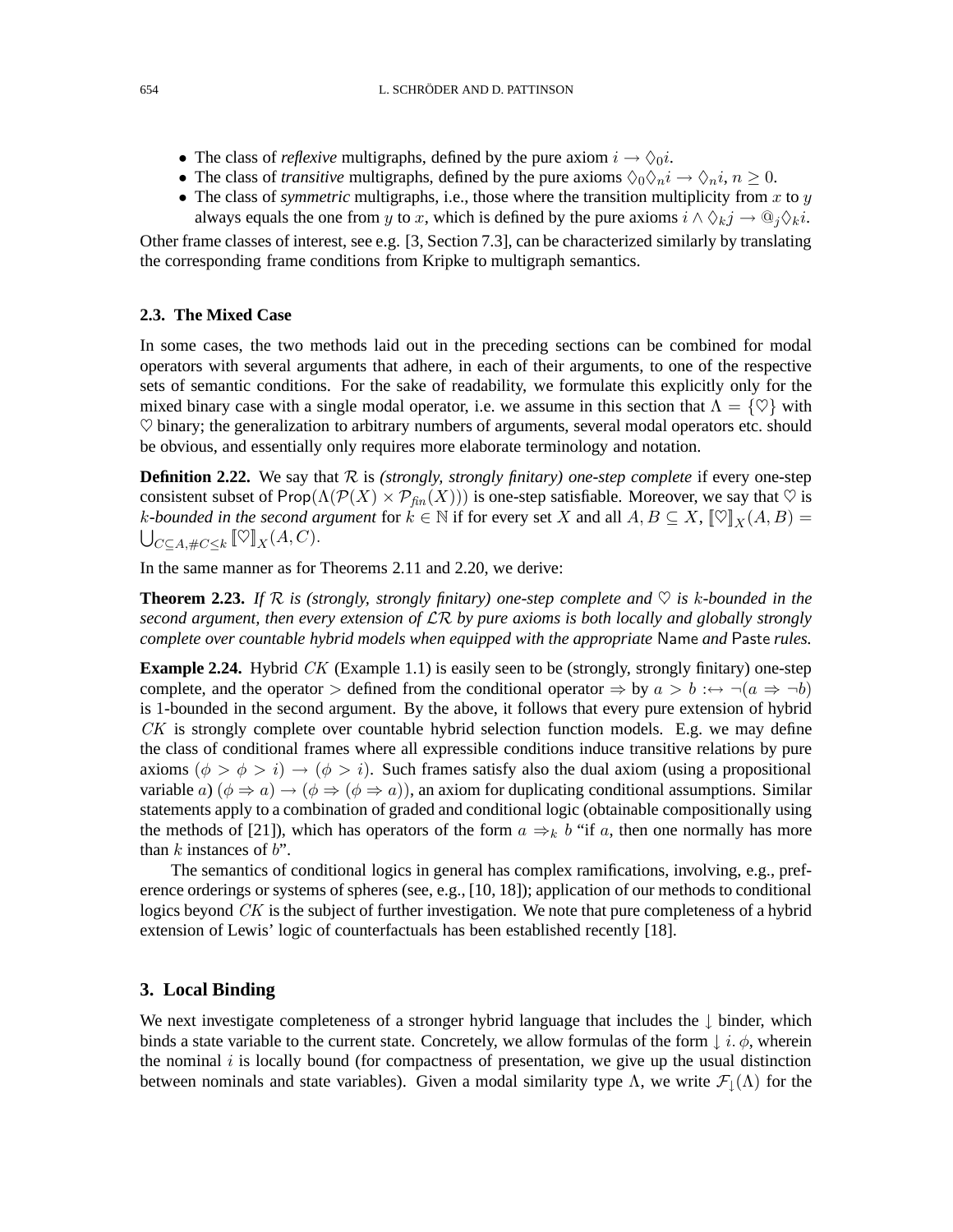- The class of *reflexive* multigraphs, defined by the pure axiom  $i \rightarrow \Diamond_0 i$ .
- The class of *transitive* multigraphs, defined by the pure axioms  $\Diamond_0 \Diamond_n i \to \Diamond_n i$ ,  $n \geq 0$ .
- The class of *symmetric* multigraphs, i.e., those where the transition multiplicity from  $x$  to  $y$ always equals the one from y to x, which is defined by the pure axioms  $i \wedge \Diamond_k j \rightarrow \mathbb{Q}_j \Diamond_k i$ .

Other frame classes of interest, see e.g. [3, Section 7.3], can be characterized similarly by translating the corresponding frame conditions from Kripke to multigraph semantics.

### **2.3. The Mixed Case**

In some cases, the two methods laid out in the preceding sections can be combined for modal operators with several arguments that adhere, in each of their arguments, to one of the respective sets of semantic conditions. For the sake of readability, we formulate this explicitly only for the mixed binary case with a single modal operator, i.e. we assume in this section that  $\Lambda = \{ \heartsuit \}$  with  $\heartsuit$  binary; the generalization to arbitrary numbers of arguments, several modal operators etc. should be obvious, and essentially only requires more elaborate terminology and notation.

**Definition 2.22.** We say that  $R$  is *(strongly, strongly finitary) one-step complete* if every one-step consistent subset of Prop( $\Lambda(\mathcal{P}(X) \times \mathcal{P}_{\text{fin}}(X)))$  is one-step satisfiable. Moreover, we say that  $\heartsuit$  is k-bounded in the second argument for  $k \in \mathbb{N}$  if for every set X and all  $A, B \subseteq X$ ,  $[\![\heartsuit]\!]_X(A, B) =$  $\bigcup_{C\subseteq A,\#C\leq k} [\![\heartsuit]\!]_X(A,C).$ 

In the same manner as for Theorems 2.11 and 2.20, we derive:

**Theorem 2.23.** If R is (strongly, strongly finitary) one-step complete and  $\heartsuit$  is k-bounded in the *second argument, then every extension of* LR *by pure axioms is both locally and globally strongly complete over countable hybrid models when equipped with the appropriate* Name *and* Paste *rules.*

**Example 2.24.** Hybrid CK (Example 1.1) is easily seen to be (strongly, strongly finitary) one-step complete, and the operator > defined from the conditional operator  $\Rightarrow$  by  $a > b : \leftrightarrow \neg(a \Rightarrow \neg b)$ is 1-bounded in the second argument. By the above, it follows that every pure extension of hybrid CK is strongly complete over countable hybrid selection function models. E.g. we may define the class of conditional frames where all expressible conditions induce transitive relations by pure axioms  $(\phi > \phi > i) \rightarrow (\phi > i)$ . Such frames satisfy also the dual axiom (using a propositional variable a)  $(\phi \Rightarrow a) \rightarrow (\phi \Rightarrow (\phi \Rightarrow a))$ , an axiom for duplicating conditional assumptions. Similar statements apply to a combination of graded and conditional logic (obtainable compositionally using the methods of [21]), which has operators of the form  $a \Rightarrow_k b$  "if a, then one normally has more than  $k$  instances of  $b$ ".

The semantics of conditional logics in general has complex ramifications, involving, e.g., preference orderings or systems of spheres (see, e.g., [10, 18]); application of our methods to conditional logics beyond  $CK$  is the subject of further investigation. We note that pure completeness of a hybrid extension of Lewis' logic of counterfactuals has been established recently [18].

#### **3. Local Binding**

We next investigate completeness of a stronger hybrid language that includes the ↓ binder, which binds a state variable to the current state. Concretely, we allow formulas of the form  $\downarrow i. \phi$ , wherein the nominal  $i$  is locally bound (for compactness of presentation, we give up the usual distinction between nominals and state variables). Given a modal similarity type  $\Lambda$ , we write  $\mathcal{F}_{\perp}(\Lambda)$  for the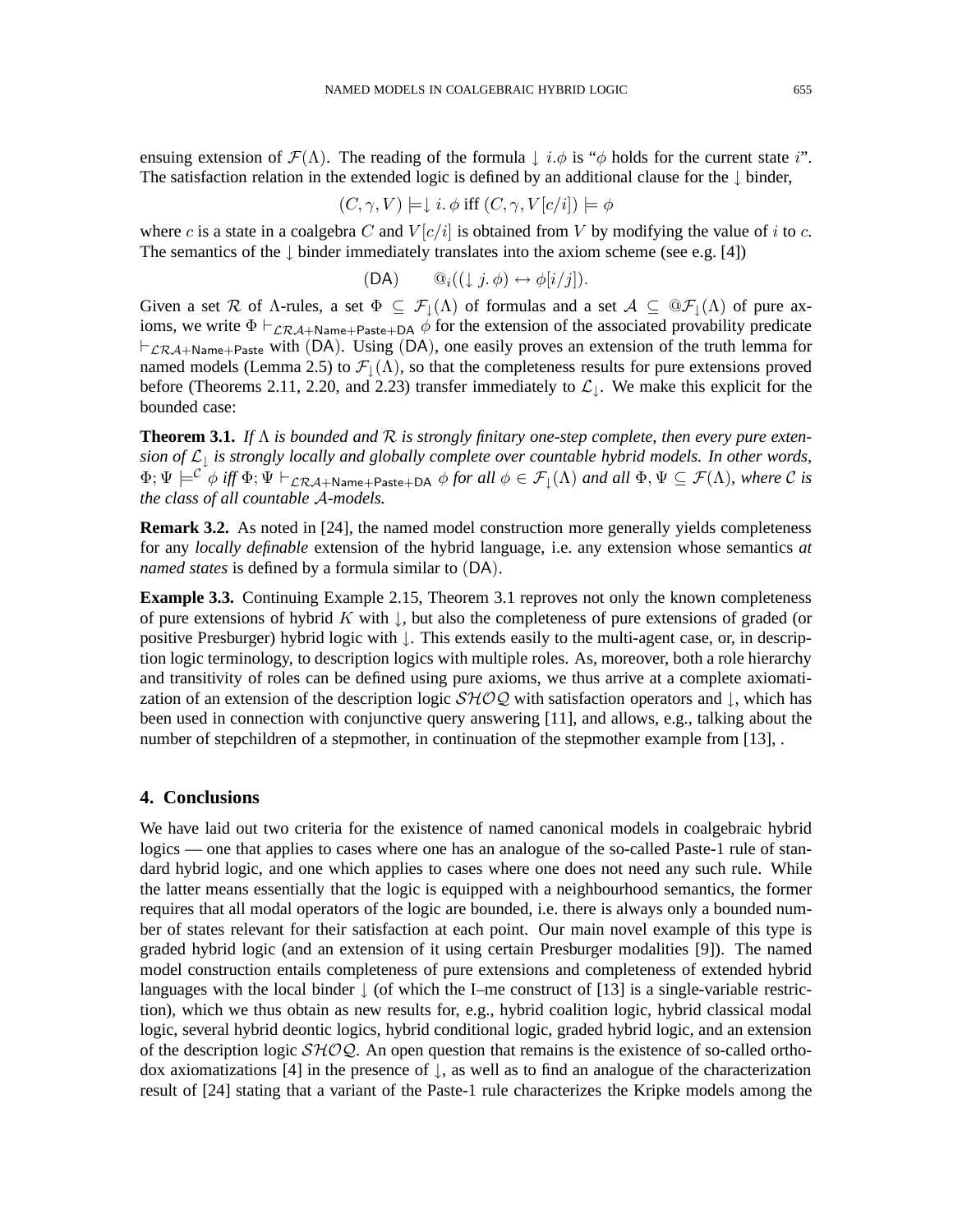ensuing extension of  $\mathcal{F}(\Lambda)$ . The reading of the formula  $\downarrow i.\phi$  is " $\phi$  holds for the current state i". The satisfaction relation in the extended logic is defined by an additional clause for the ↓ binder,

$$
(C, \gamma, V) \models \downarrow i. \phi
$$
 iff  $(C, \gamma, V[c/i]) \models \phi$ 

where c is a state in a coalgebra C and  $V[c/i]$  is obtained from V by modifying the value of i to c. The semantics of the  $\downarrow$  binder immediately translates into the axiom scheme (see e.g. [4])

$$
(DA) \qquad \mathbb{Q}_i((\downarrow j, \phi) \leftrightarrow \phi[i/j]).
$$

Given a set R of  $\Lambda$ -rules, a set  $\Phi \subseteq \mathcal{F}_1(\Lambda)$  of formulas and a set  $\mathcal{A} \subseteq \mathcal{D}\mathcal{F}_1(\Lambda)$  of pure axioms, we write  $\Phi \vdash_{\mathcal{LRA}+\mathsf{Name}+\mathsf{Paste}+\mathsf{DA}} \phi$  for the extension of the associated provability predicate  $\vdash_{\mathcal{LRA}+\mathsf{Name}+\mathsf{Paste}}$  with (DA). Using (DA), one easily proves an extension of the truth lemma for named models (Lemma 2.5) to  $\mathcal{F}_\parallel(\Lambda)$ , so that the completeness results for pure extensions proved before (Theorems 2.11, 2.20, and 2.23) transfer immediately to  $\mathcal{L}_\perp$ . We make this explicit for the bounded case:

**Theorem 3.1.** *If* Λ *is bounded and* R *is strongly finitary one-step complete, then every pure extension of* L<sup>↓</sup> *is strongly locally and globally complete over countable hybrid models. In other words,*  $\Phi$ ;  $\Psi \models^{\mathcal{C}^*} \phi$  *iff*  $\Phi$ ;  $\Psi \vdash_{\mathcal{LRA}+\mathsf{Name}+\mathsf{Paste}+\mathsf{DA}} \phi$  for all  $\phi \in \mathcal{F}_\downarrow(\Lambda)$  and all  $\Phi, \Psi \subseteq \mathcal{F}(\Lambda)$ , where  $\mathcal{C}$  *is the class of all countable* A*-models.*

**Remark 3.2.** As noted in [24], the named model construction more generally yields completeness for any *locally definable* extension of the hybrid language, i.e. any extension whose semantics *at named states* is defined by a formula similar to (DA).

**Example 3.3.** Continuing Example 2.15, Theorem 3.1 reproves not only the known completeness of pure extensions of hybrid K with  $\vert$ , but also the completeness of pure extensions of graded (or positive Presburger) hybrid logic with ↓. This extends easily to the multi-agent case, or, in description logic terminology, to description logics with multiple roles. As, moreover, both a role hierarchy and transitivity of roles can be defined using pure axioms, we thus arrive at a complete axiomatization of an extension of the description logic  $\mathcal{SHOQ}$  with satisfaction operators and  $\downarrow$ , which has been used in connection with conjunctive query answering [11], and allows, e.g., talking about the number of stepchildren of a stepmother, in continuation of the stepmother example from [13], .

# **4. Conclusions**

We have laid out two criteria for the existence of named canonical models in coalgebraic hybrid logics — one that applies to cases where one has an analogue of the so-called Paste-1 rule of standard hybrid logic, and one which applies to cases where one does not need any such rule. While the latter means essentially that the logic is equipped with a neighbourhood semantics, the former requires that all modal operators of the logic are bounded, i.e. there is always only a bounded number of states relevant for their satisfaction at each point. Our main novel example of this type is graded hybrid logic (and an extension of it using certain Presburger modalities [9]). The named model construction entails completeness of pure extensions and completeness of extended hybrid languages with the local binder  $\downarrow$  (of which the I–me construct of [13] is a single-variable restriction), which we thus obtain as new results for, e.g., hybrid coalition logic, hybrid classical modal logic, several hybrid deontic logics, hybrid conditional logic, graded hybrid logic, and an extension of the description logic  $\mathcal{SHOQ}$ . An open question that remains is the existence of so-called orthodox axiomatizations [4] in the presence of  $\downarrow$ , as well as to find an analogue of the characterization result of [24] stating that a variant of the Paste-1 rule characterizes the Kripke models among the